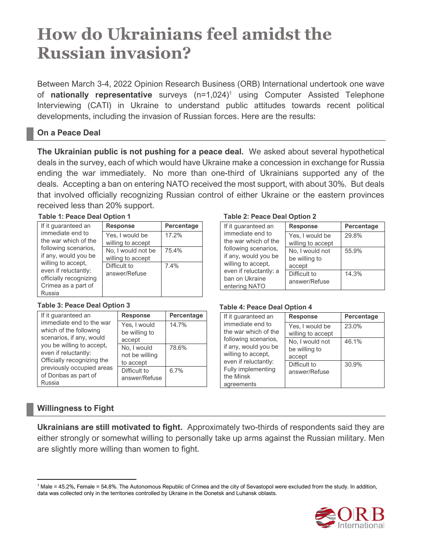# **How do Ukrainians feel amidst the Russian invasion?**

Between March 3-4, 2022 Opinion Research Business (ORB) International undertook one wave of **nationally representative** surveys (n=1,024) <sup>1</sup> using Computer Assisted Telephone Interviewing (CATI) in Ukraine to understand public attitudes towards recent political developments, including the invasion of Russian forces. Here are the results:

# **On a Peace Deal**

**The Ukrainian public is not pushing for a peace deal.** We asked about several hypothetical deals in the survey, each of which would have Ukraine make a concession in exchange for Russia ending the war immediately. No more than one-third of Ukrainians supported any of the deals. Accepting a ban on entering NATO received the most support, with about 30%. But deals that involved officially recognizing Russian control of either Ukraine or the eastern provinces received less than 20% support.

| Table 1: Peace Deal Option 1             |                    |            |  |
|------------------------------------------|--------------------|------------|--|
| If it quaranteed an                      | <b>Response</b>    | Percentage |  |
| immediate end to<br>the war which of the | Yes, I would be    | 17.2%      |  |
| following scenarios,                     | willing to accept  |            |  |
| if any, would you be                     | No, I would not be | 75.4%      |  |
| willing to accept,                       | willing to accept  |            |  |
| even if reluctantly:                     | Difficult to       | 7.4%       |  |
| officially recognizing                   | answer/Refuse      |            |  |
| Crimea as a part of                      |                    |            |  |
| Russia                                   |                    |            |  |

| If it quaranteed an                                                                                                                            | <b>Response</b>                            | Percentage |
|------------------------------------------------------------------------------------------------------------------------------------------------|--------------------------------------------|------------|
| immediate end to the war<br>which of the following<br>scenarios, if any, would                                                                 | Yes, I would<br>be willing to<br>accept    | 14.7%      |
| you be willing to accept,<br>even if reluctantly:<br>Officially recognizing the<br>previously occupied areas<br>of Donbas as part of<br>Russia | No, I would<br>not be willing<br>to accept | 78.6%      |
|                                                                                                                                                | Difficult to<br>answer/Refuse              | 6.7%       |

# **Table 1: Peace Deal Option 1 Table 2: Peace Deal Option 2**

| If it guaranteed an                                            | <b>Response</b>                         | Percentage |
|----------------------------------------------------------------|-----------------------------------------|------------|
| immediate end to<br>the war which of the                       | Yes, I would be<br>willing to accept    | 29.8%      |
| following scenarios,<br>if any, would you be                   | No, I would not<br>be willing to        | 55.9%      |
| willing to accept,<br>even if reluctantly: a<br>ban on Ukraine | accept<br>Difficult to<br>answer/Refuse | 14.3%      |
| entering NATO                                                  |                                         |            |

### **Table 3: Peace Deal Option 3 Table 4: Peace Deal Option 4**

| If it quaranteed an                                                | <b>Response</b>                            | Percentage |
|--------------------------------------------------------------------|--------------------------------------------|------------|
| immediate end to<br>the war which of the                           | Yes, I would be<br>willing to accept       | 23.0%      |
| following scenarios.<br>if any, would you be<br>willing to accept, | No, I would not<br>be willing to<br>accept | 46.1%      |
| even if reluctantly:<br>Fully implementing<br>the Minsk            | Difficult to<br>answer/Refuse              | 30.9%      |
| agreements                                                         |                                            |            |

# **Willingness to Fight**

**Ukrainians are still motivated to fight.** Approximately two-thirds of respondents said they are either strongly or somewhat willing to personally take up arms against the Russian military. Men are slightly more willing than women to fight.

<sup>1</sup> Male = 45.2%, Female = 54.8%. The Autonomous Republic of Crimea and the city of Sevastopol were excluded from the study. In addition, data was collected only in the territories controlled by Ukraine in the Donetsk and Luhansk oblasts.